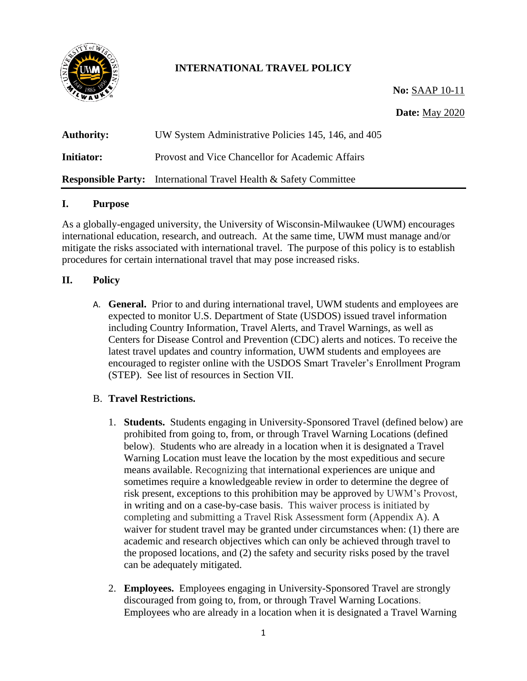

# **INTERNATIONAL TRAVEL POLICY**

**No:** SAAP 10-11

# **Date:** May 2020

| <b>Authority:</b> | UW System Administrative Policies 145, 146, and 405                      |
|-------------------|--------------------------------------------------------------------------|
| <b>Initiator:</b> | Provost and Vice Chancellor for Academic Affairs                         |
|                   | <b>Responsible Party:</b> International Travel Health & Safety Committee |

#### **I. Purpose**

As a globally-engaged university, the University of Wisconsin-Milwaukee (UWM) encourages international education, research, and outreach. At the same time, UWM must manage and/or mitigate the risks associated with international travel. The purpose of this policy is to establish procedures for certain international travel that may pose increased risks.

### **II. Policy**

A. **General.** Prior to and during international travel, UWM students and employees are expected to monitor U.S. Department of State (USDOS) issued travel information including Country Information, Travel Alerts, and Travel Warnings, as well as Centers for Disease Control and Prevention (CDC) alerts and notices. To receive the latest travel updates and country information, UWM students and employees are encouraged to register online with the USDOS Smart Traveler's Enrollment Program (STEP). See list of resources in Section VII.

# B. **Travel Restrictions.**

- 1. **Students.** Students engaging in University-Sponsored Travel (defined below) are prohibited from going to, from, or through Travel Warning Locations (defined below). Students who are already in a location when it is designated a Travel Warning Location must leave the location by the most expeditious and secure means available. Recognizing that international experiences are unique and sometimes require a knowledgeable review in order to determine the degree of risk present, exceptions to this prohibition may be approved by UWM's Provost, in writing and on a case-by-case basis. This waiver process is initiated by completing and submitting a Travel Risk Assessment form (Appendix A). A waiver for student travel may be granted under circumstances when: (1) there are academic and research objectives which can only be achieved through travel to the proposed locations, and (2) the safety and security risks posed by the travel can be adequately mitigated.
- 2. **Employees.** Employees engaging in University-Sponsored Travel are strongly discouraged from going to, from, or through Travel Warning Locations. Employees who are already in a location when it is designated a Travel Warning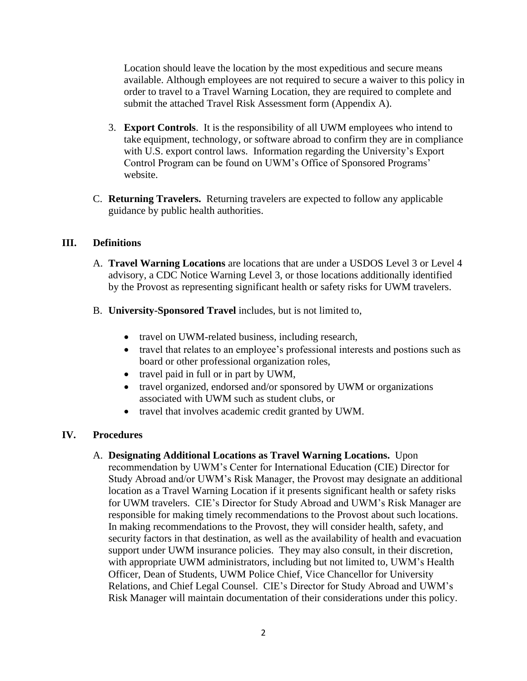Location should leave the location by the most expeditious and secure means available. Although employees are not required to secure a waiver to this policy in order to travel to a Travel Warning Location, they are required to complete and submit the attached Travel Risk Assessment form (Appendix A).

- 3. **Export Controls**. It is the responsibility of all UWM employees who intend to take equipment, technology, or software abroad to confirm they are in compliance with U.S. export control laws. Information regarding the University's Export Control Program can be found on UWM's Office of Sponsored Programs' website.
- C. **Returning Travelers.** Returning travelers are expected to follow any applicable guidance by public health authorities.

# **III. Definitions**

- A. **Travel Warning Locations** are locations that are under a USDOS Level 3 or Level 4 advisory, a CDC Notice Warning Level 3, or those locations additionally identified by the Provost as representing significant health or safety risks for UWM travelers.
- B. **University-Sponsored Travel** includes, but is not limited to,
	- travel on UWM-related business, including research,
	- travel that relates to an employee's professional interests and postions such as board or other professional organization roles,
	- travel paid in full or in part by UWM,
	- travel organized, endorsed and/or sponsored by UWM or organizations associated with UWM such as student clubs, or
	- travel that involves academic credit granted by UWM.

# **IV. Procedures**

A. **Designating Additional Locations as Travel Warning Locations.** Upon recommendation by UWM's Center for International Education (CIE) Director for Study Abroad and/or UWM's Risk Manager, the Provost may designate an additional location as a Travel Warning Location if it presents significant health or safety risks for UWM travelers. CIE's Director for Study Abroad and UWM's Risk Manager are responsible for making timely recommendations to the Provost about such locations. In making recommendations to the Provost, they will consider health, safety, and security factors in that destination, as well as the availability of health and evacuation support under UWM insurance policies. They may also consult, in their discretion, with appropriate UWM administrators, including but not limited to, UWM's Health Officer, Dean of Students, UWM Police Chief, Vice Chancellor for University Relations, and Chief Legal Counsel. CIE's Director for Study Abroad and UWM's Risk Manager will maintain documentation of their considerations under this policy.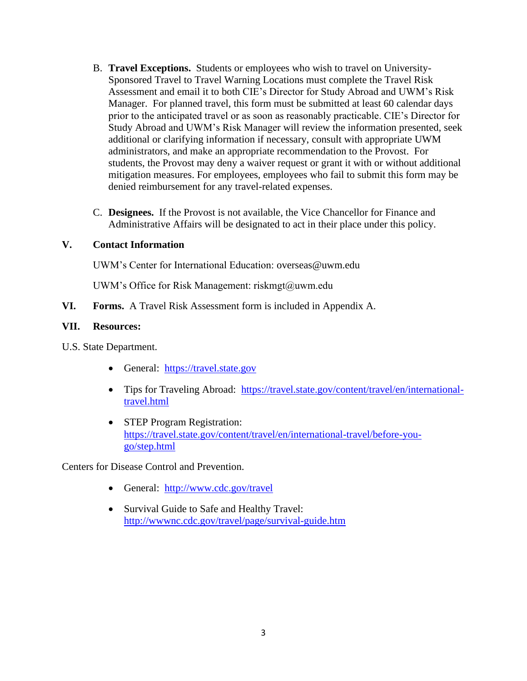- B. **Travel Exceptions.** Students or employees who wish to travel on University-Sponsored Travel to Travel Warning Locations must complete the Travel Risk Assessment and email it to both CIE's Director for Study Abroad and UWM's Risk Manager. For planned travel, this form must be submitted at least 60 calendar days prior to the anticipated travel or as soon as reasonably practicable. CIE's Director for Study Abroad and UWM's Risk Manager will review the information presented, seek additional or clarifying information if necessary, consult with appropriate UWM administrators, and make an appropriate recommendation to the Provost. For students, the Provost may deny a waiver request or grant it with or without additional mitigation measures. For employees, employees who fail to submit this form may be denied reimbursement for any travel-related expenses.
- C. **Designees.** If the Provost is not available, the Vice Chancellor for Finance and Administrative Affairs will be designated to act in their place under this policy.

### **V. Contact Information**

UWM's Center for International Education: overseas@uwm.edu

UWM's Office for Risk Management: riskmgt@uwm.edu

**VI. Forms.** A Travel Risk Assessment form is included in Appendix A.

### **VII. Resources:**

U.S. State Department.

- General: [https://travel.state.gov](https://travel.state.gov/)
- Tips for Traveling Abroad: [https://travel.state.gov/content/travel/en/international](https://travel.state.gov/content/travel/en/international-travel.html)[travel.html](https://travel.state.gov/content/travel/en/international-travel.html)
- STEP Program Registration: [https://travel.state.gov/content/travel/en/international-travel/before-you](https://travel.state.gov/content/travel/en/international-travel/before-you-go/step.html)[go/step.html](https://travel.state.gov/content/travel/en/international-travel/before-you-go/step.html)

Centers for Disease Control and Prevention.

- General: <http://www.cdc.gov/travel>
- Survival Guide to Safe and Healthy Travel: <http://wwwnc.cdc.gov/travel/page/survival-guide.htm>